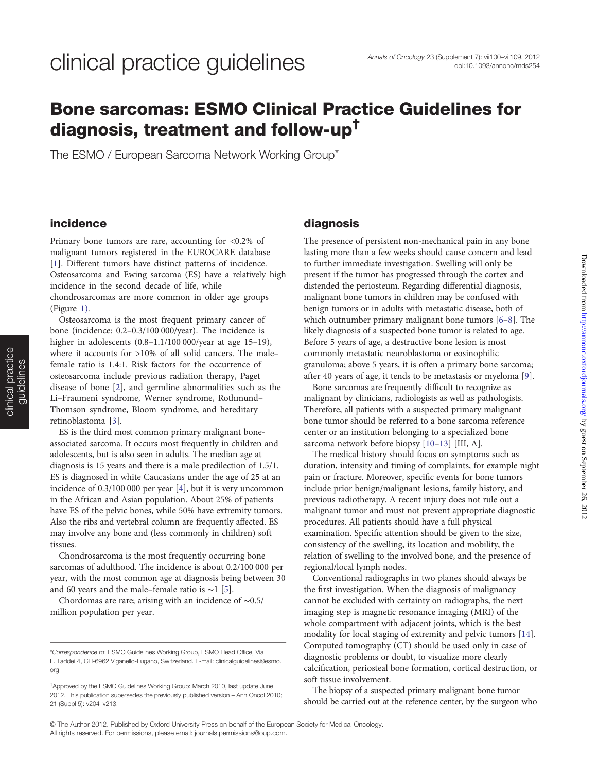# Bone sarcomas: ESMO Clinical Practice Guidelines for diagnosis, treatment and follow-up†

The ESMO / European Sarcoma Network Working Group\*

### incidence

Primary bone tumors are rare, accounting for <0.2% of malignant tumors registered in the EUROCARE database [[1](#page-7-0)]. Different tumors have distinct patterns of incidence. Osteosarcoma and Ewing sarcoma (ES) have a relatively high incidence in the second decade of life, while chondrosarcomas are more common in older age groups (Figure [1\)](#page-1-0).

Osteosarcoma is the most frequent primary cancer of bone (incidence: 0.2–0.3/100 000/year). The incidence is higher in adolescents (0.8–1.1/100 000/year at age 15–19), where it accounts for >10% of all solid cancers. The malefemale ratio is 1.4:1. Risk factors for the occurrence of osteosarcoma include previous radiation therapy, Paget disease of bone [[2](#page-7-0)], and germline abnormalities such as the Li–Fraumeni syndrome, Werner syndrome, Rothmund– Thomson syndrome, Bloom syndrome, and hereditary retinoblastoma [[3\]](#page-7-0).

ES is the third most common primary malignant boneassociated sarcoma. It occurs most frequently in children and adolescents, but is also seen in adults. The median age at diagnosis is 15 years and there is a male predilection of 1.5/1. ES is diagnosed in white Caucasians under the age of 25 at an incidence of 0.3/100 000 per year [\[4\]](#page-7-0), but it is very uncommon in the African and Asian population. About 25% of patients have ES of the pelvic bones, while 50% have extremity tumors. Also the ribs and vertebral column are frequently affected. ES may involve any bone and (less commonly in children) soft tissues.

Chondrosarcoma is the most frequently occurring bone sarcomas of adulthood. The incidence is about 0.2/100 000 per year, with the most common age at diagnosis being between 30 and 60 years and the male–female ratio is ∼1 [[5](#page-7-0)].

Chordomas are rare; arising with an incidence of ∼0.5/ million population per year.

### diagnosis

The presence of persistent non-mechanical pain in any bone lasting more than a few weeks should cause concern and lead to further immediate investigation. Swelling will only be present if the tumor has progressed through the cortex and distended the periosteum. Regarding differential diagnosis, malignant bone tumors in children may be confused with benign tumors or in adults with metastatic disease, both of which outnumber primary malignant bone tumors [\[6](#page-7-0)–[8](#page-7-0)]. The likely diagnosis of a suspected bone tumor is related to age. Before 5 years of age, a destructive bone lesion is most commonly metastatic neuroblastoma or eosinophilic granuloma; above 5 years, it is often a primary bone sarcoma; after 40 years of age, it tends to be metastasis or myeloma [\[9](#page-7-0)].

Bone sarcomas are frequently difficult to recognize as malignant by clinicians, radiologists as well as pathologists. Therefore, all patients with a suspected primary malignant bone tumor should be referred to a bone sarcoma reference center or an institution belonging to a specialized bone sarcoma network before biopsy [\[10](#page-7-0)–[13](#page-7-0)] [III, A].

The medical history should focus on symptoms such as duration, intensity and timing of complaints, for example night pain or fracture. Moreover, specific events for bone tumors include prior benign/malignant lesions, family history, and previous radiotherapy. A recent injury does not rule out a malignant tumor and must not prevent appropriate diagnostic procedures. All patients should have a full physical examination. Specific attention should be given to the size, consistency of the swelling, its location and mobility, the relation of swelling to the involved bone, and the presence of regional/local lymph nodes.

Conventional radiographs in two planes should always be the first investigation. When the diagnosis of malignancy cannot be excluded with certainty on radiographs, the next imaging step is magnetic resonance imaging (MRI) of the whole compartment with adjacent joints, which is the best modality for local staging of extremity and pelvic tumors [\[14](#page-7-0)]. Computed tomography (CT) should be used only in case of diagnostic problems or doubt, to visualize more clearly calcification, periosteal bone formation, cortical destruction, or soft tissue involvement.

The biopsy of a suspected primary malignant bone tumor should be carried out at the reference center, by the surgeon who

<sup>\*</sup>Correspondence to: ESMO Guidelines Working Group, ESMO Head Office, Via L. Taddei 4, CH-6962 Viganello-Lugano, Switzerland. E-mail: clinicalguidelines@esmo. org

<sup>†</sup> Approved by the ESMO Guidelines Working Group: March 2010, last update June 2012. This publication supersedes the previously published version – Ann Oncol 2010; 21 (Suppl 5): v204–v213.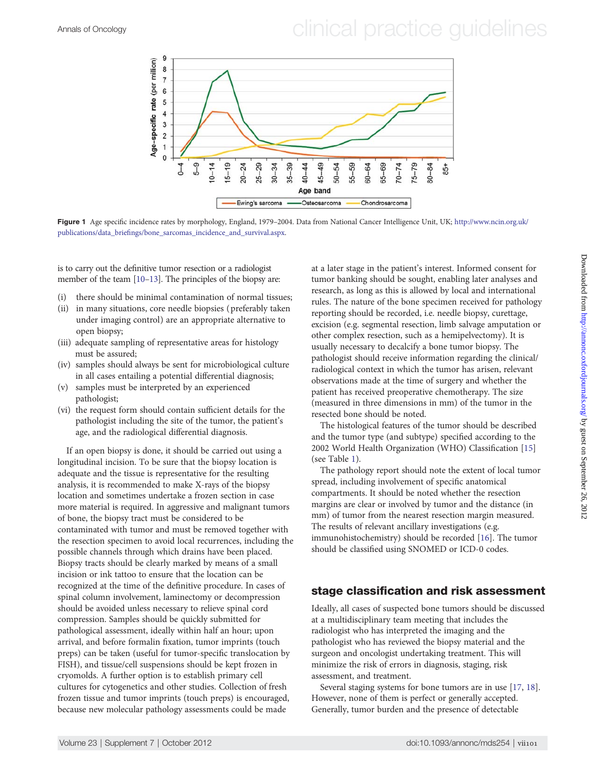# <span id="page-1-0"></span>Annals of Oncology **Annals of Oncology** clinical practice guidelines



Figure 1 Age specific incidence rates by morphology, England, 1979–2004, Data from National Cancer Intelligence Unit, UK; [http://www.ncin.org.uk/](http://www.ncin.org.uk/publications/data_briefings/bone_sarcomas_incidence_and_survival.aspx) publications/data\_briefi[ngs/bone\\_sarcomas\\_incidence\\_and\\_survival.aspx.](http://www.ncin.org.uk/publications/data_briefings/bone_sarcomas_incidence_and_survival.aspx)

is to carry out the definitive tumor resection or a radiologist member of the team [[10](#page-7-0)–[13\]](#page-7-0). The principles of the biopsy are:

- (i) there should be minimal contamination of normal tissues;
- (ii) in many situations, core needle biopsies ( preferably taken under imaging control) are an appropriate alternative to open biopsy;
- (iii) adequate sampling of representative areas for histology must be assured;
- (iv) samples should always be sent for microbiological culture in all cases entailing a potential differential diagnosis;
- (v) samples must be interpreted by an experienced pathologist;
- (vi) the request form should contain sufficient details for the pathologist including the site of the tumor, the patient's age, and the radiological differential diagnosis.

If an open biopsy is done, it should be carried out using a longitudinal incision. To be sure that the biopsy location is adequate and the tissue is representative for the resulting analysis, it is recommended to make X-rays of the biopsy location and sometimes undertake a frozen section in case more material is required. In aggressive and malignant tumors of bone, the biopsy tract must be considered to be contaminated with tumor and must be removed together with the resection specimen to avoid local recurrences, including the possible channels through which drains have been placed. Biopsy tracts should be clearly marked by means of a small incision or ink tattoo to ensure that the location can be recognized at the time of the definitive procedure. In cases of spinal column involvement, laminectomy or decompression should be avoided unless necessary to relieve spinal cord compression. Samples should be quickly submitted for pathological assessment, ideally within half an hour; upon arrival, and before formalin fixation, tumor imprints (touch preps) can be taken (useful for tumor-specific translocation by FISH), and tissue/cell suspensions should be kept frozen in cryomolds. A further option is to establish primary cell cultures for cytogenetics and other studies. Collection of fresh frozen tissue and tumor imprints (touch preps) is encouraged, because new molecular pathology assessments could be made

at a later stage in the patient's interest. Informed consent for tumor banking should be sought, enabling later analyses and research, as long as this is allowed by local and international rules. The nature of the bone specimen received for pathology reporting should be recorded, i.e. needle biopsy, curettage, excision (e.g. segmental resection, limb salvage amputation or other complex resection, such as a hemipelvectomy). It is usually necessary to decalcify a bone tumor biopsy. The pathologist should receive information regarding the clinical/ radiological context in which the tumor has arisen, relevant observations made at the time of surgery and whether the patient has received preoperative chemotherapy. The size (measured in three dimensions in mm) of the tumor in the resected bone should be noted.

The histological features of the tumor should be described and the tumor type (and subtype) specified according to the 2002 World Health Organization (WHO) Classification [[15\]](#page-7-0) (see Table [1](#page-2-0)).

The pathology report should note the extent of local tumor spread, including involvement of specific anatomical compartments. It should be noted whether the resection margins are clear or involved by tumor and the distance (in mm) of tumor from the nearest resection margin measured. The results of relevant ancillary investigations (e.g. immunohistochemistry) should be recorded [\[16](#page-7-0)]. The tumor should be classified using SNOMED or ICD-0 codes.

## stage classification and risk assessment

Ideally, all cases of suspected bone tumors should be discussed at a multidisciplinary team meeting that includes the radiologist who has interpreted the imaging and the pathologist who has reviewed the biopsy material and the surgeon and oncologist undertaking treatment. This will minimize the risk of errors in diagnosis, staging, risk assessment, and treatment.

Several staging systems for bone tumors are in use [\[17](#page-8-0), [18](#page-8-0)]. However, none of them is perfect or generally accepted. Generally, tumor burden and the presence of detectable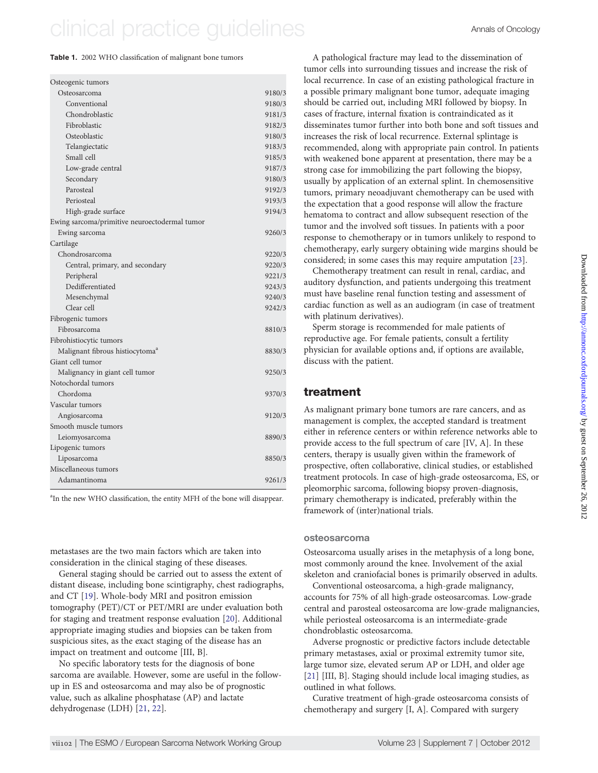# <span id="page-2-0"></span>clinical practice quidelines and the second annuals of Oncology

#### Table 1. 2002 WHO classification of malignant bone tumors

| Osteogenic tumors                             |        |
|-----------------------------------------------|--------|
| Osteosarcoma                                  | 9180/3 |
| Conventional                                  | 9180/3 |
| Chondroblastic                                | 9181/3 |
| Fibroblastic                                  | 9182/3 |
| Osteoblastic                                  | 9180/3 |
| Telangiectatic                                | 9183/3 |
| Small cell                                    | 9185/3 |
| Low-grade central                             | 9187/3 |
| Secondary                                     | 9180/3 |
| Parosteal                                     | 9192/3 |
| Periosteal                                    | 9193/3 |
| High-grade surface                            | 9194/3 |
| Ewing sarcoma/primitive neuroectodermal tumor |        |
| Ewing sarcoma                                 | 9260/3 |
| Cartilage                                     |        |
| Chondrosarcoma                                | 9220/3 |
| Central, primary, and secondary               | 9220/3 |
| Peripheral                                    | 9221/3 |
| Dedifferentiated                              | 9243/3 |
| Mesenchymal                                   | 9240/3 |
| Clear cell                                    | 9242/3 |
| Fibrogenic tumors                             |        |
| Fibrosarcoma                                  | 8810/3 |
| Fibrohistiocytic tumors                       |        |
| Malignant fibrous histiocytoma <sup>a</sup>   | 8830/3 |
| Giant cell tumor                              |        |
| Malignancy in giant cell tumor                | 9250/3 |
| Notochordal tumors                            |        |
| Chordoma                                      | 9370/3 |
| Vascular tumors                               |        |
| Angiosarcoma                                  | 9120/3 |
| Smooth muscle tumors                          |        |
| Leiomyosarcoma                                | 8890/3 |
| Lipogenic tumors                              |        |
| Liposarcoma                                   | 8850/3 |
| Miscellaneous tumors                          |        |
| Adamantinoma                                  | 9261/3 |
|                                               |        |

<sup>a</sup>In the new WHO classification, the entity MFH of the bone will disappear.

metastases are the two main factors which are taken into consideration in the clinical staging of these diseases.

General staging should be carried out to assess the extent of distant disease, including bone scintigraphy, chest radiographs, and CT [\[19](#page-8-0)]. Whole-body MRI and positron emission tomography (PET)/CT or PET/MRI are under evaluation both for staging and treatment response evaluation [\[20](#page-8-0)]. Additional appropriate imaging studies and biopsies can be taken from suspicious sites, as the exact staging of the disease has an impact on treatment and outcome [III, B].

No specific laboratory tests for the diagnosis of bone sarcoma are available. However, some are useful in the followup in ES and osteosarcoma and may also be of prognostic value, such as alkaline phosphatase (AP) and lactate dehydrogenase (LDH) [\[21](#page-8-0), [22](#page-8-0)].

A pathological fracture may lead to the dissemination of tumor cells into surrounding tissues and increase the risk of local recurrence. In case of an existing pathological fracture in a possible primary malignant bone tumor, adequate imaging should be carried out, including MRI followed by biopsy. In cases of fracture, internal fixation is contraindicated as it disseminates tumor further into both bone and soft tissues and increases the risk of local recurrence. External splintage is recommended, along with appropriate pain control. In patients with weakened bone apparent at presentation, there may be a strong case for immobilizing the part following the biopsy, usually by application of an external splint. In chemosensitive tumors, primary neoadjuvant chemotherapy can be used with the expectation that a good response will allow the fracture hematoma to contract and allow subsequent resection of the tumor and the involved soft tissues. In patients with a poor response to chemotherapy or in tumors unlikely to respond to chemotherapy, early surgery obtaining wide margins should be considered; in some cases this may require amputation [[23\]](#page-8-0).

Chemotherapy treatment can result in renal, cardiac, and auditory dysfunction, and patients undergoing this treatment must have baseline renal function testing and assessment of cardiac function as well as an audiogram (in case of treatment with platinum derivatives).

Sperm storage is recommended for male patients of reproductive age. For female patients, consult a fertility physician for available options and, if options are available, discuss with the patient.

### treatment

As malignant primary bone tumors are rare cancers, and as management is complex, the accepted standard is treatment either in reference centers or within reference networks able to provide access to the full spectrum of care [IV, A]. In these centers, therapy is usually given within the framework of prospective, often collaborative, clinical studies, or established treatment protocols. In case of high-grade osteosarcoma, ES, or pleomorphic sarcoma, following biopsy proven-diagnosis, primary chemotherapy is indicated, preferably within the framework of (inter)national trials.

#### osteosarcoma

Osteosarcoma usually arises in the metaphysis of a long bone, most commonly around the knee. Involvement of the axial skeleton and craniofacial bones is primarily observed in adults.

Conventional osteosarcoma, a high-grade malignancy, accounts for 75% of all high-grade osteosarcomas. Low-grade central and parosteal osteosarcoma are low-grade malignancies, while periosteal osteosarcoma is an intermediate-grade chondroblastic osteosarcoma.

Adverse prognostic or predictive factors include detectable primary metastases, axial or proximal extremity tumor site, large tumor size, elevated serum AP or LDH, and older age [[21\]](#page-8-0) [III, B]. Staging should include local imaging studies, as outlined in what follows.

Curative treatment of high-grade osteosarcoma consists of chemotherapy and surgery [I, A]. Compared with surgery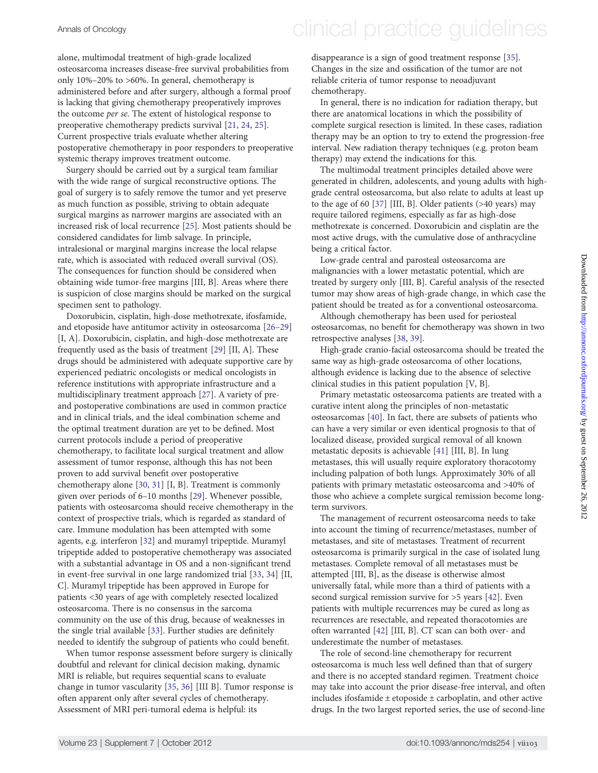# Annals of Oncology **Annals of Oncology** clinical practice quidelines

alone, multimodal treatment of high-grade localized osteosarcoma increases disease-free survival probabilities from only 10%–20% to >60%. In general, chemotherapy is administered before and after surgery, although a formal proof is lacking that giving chemotherapy preoperatively improves the outcome per se. The extent of histological response to preoperative chemotherapy predicts survival [\[21](#page-8-0), [24](#page-8-0), [25](#page-8-0)]. Current prospective trials evaluate whether altering postoperative chemotherapy in poor responders to preoperative systemic therapy improves treatment outcome.

Surgery should be carried out by a surgical team familiar with the wide range of surgical reconstructive options. The goal of surgery is to safely remove the tumor and yet preserve as much function as possible, striving to obtain adequate surgical margins as narrower margins are associated with an increased risk of local recurrence [[25](#page-8-0)]. Most patients should be considered candidates for limb salvage. In principle, intralesional or marginal margins increase the local relapse rate, which is associated with reduced overall survival (OS). The consequences for function should be considered when obtaining wide tumor-free margins [III, B]. Areas where there is suspicion of close margins should be marked on the surgical specimen sent to pathology.

Doxorubicin, cisplatin, high-dose methotrexate, ifosfamide, and etoposide have antitumor activity in osteosarcoma [[26](#page-8-0)–[29\]](#page-8-0) [I, A]. Doxorubicin, cisplatin, and high-dose methotrexate are frequently used as the basis of treatment [\[29](#page-8-0)] [II, A]. These drugs should be administered with adequate supportive care by experienced pediatric oncologists or medical oncologists in reference institutions with appropriate infrastructure and a multidisciplinary treatment approach [[27\]](#page-8-0). A variety of preand postoperative combinations are used in common practice and in clinical trials, and the ideal combination scheme and the optimal treatment duration are yet to be defined. Most current protocols include a period of preoperative chemotherapy, to facilitate local surgical treatment and allow assessment of tumor response, although this has not been proven to add survival benefit over postoperative chemotherapy alone [[30](#page-8-0), [31\]](#page-8-0) [I, B]. Treatment is commonly given over periods of 6–10 months [[29\]](#page-8-0). Whenever possible, patients with osteosarcoma should receive chemotherapy in the context of prospective trials, which is regarded as standard of care. Immune modulation has been attempted with some agents, e.g. interferon [[32\]](#page-8-0) and muramyl tripeptide. Muramyl tripeptide added to postoperative chemotherapy was associated with a substantial advantage in OS and a non-significant trend in event-free survival in one large randomized trial [[33,](#page-8-0) [34\]](#page-8-0) [II, C]. Muramyl tripeptide has been approved in Europe for patients <30 years of age with completely resected localized osteosarcoma. There is no consensus in the sarcoma community on the use of this drug, because of weaknesses in the single trial available [[33\]](#page-8-0). Further studies are definitely needed to identify the subgroup of patients who could benefit.

When tumor response assessment before surgery is clinically doubtful and relevant for clinical decision making, dynamic MRI is reliable, but requires sequential scans to evaluate change in tumor vascularity [[35,](#page-8-0) [36\]](#page-8-0) [III B]. Tumor response is often apparent only after several cycles of chemotherapy. Assessment of MRI peri-tumoral edema is helpful: its

disappearance is a sign of good treatment response [[35\]](#page-8-0). Changes in the size and ossification of the tumor are not reliable criteria of tumor response to neoadjuvant chemotherapy.

In general, there is no indication for radiation therapy, but there are anatomical locations in which the possibility of complete surgical resection is limited. In these cases, radiation therapy may be an option to try to extend the progression-free interval. New radiation therapy techniques (e.g. proton beam therapy) may extend the indications for this.

The multimodal treatment principles detailed above were generated in children, adolescents, and young adults with highgrade central osteosarcoma, but also relate to adults at least up to the age of 60 [\[37](#page-8-0)] [III, B]. Older patients (>40 years) may require tailored regimens, especially as far as high-dose methotrexate is concerned. Doxorubicin and cisplatin are the most active drugs, with the cumulative dose of anthracycline being a critical factor.

Low-grade central and parosteal osteosarcoma are malignancies with a lower metastatic potential, which are treated by surgery only [III, B]. Careful analysis of the resected tumor may show areas of high-grade change, in which case the patient should be treated as for a conventional osteosarcoma.

Although chemotherapy has been used for periosteal osteosarcomas, no benefit for chemotherapy was shown in two retrospective analyses [\[38,](#page-8-0) [39](#page-8-0)].

High-grade cranio-facial osteosarcoma should be treated the same way as high-grade osteosarcoma of other locations, although evidence is lacking due to the absence of selective clinical studies in this patient population [V, B].

Primary metastatic osteosarcoma patients are treated with a curative intent along the principles of non-metastatic osteosarcomas [[40\]](#page-8-0). In fact, there are subsets of patients who can have a very similar or even identical prognosis to that of localized disease, provided surgical removal of all known metastatic deposits is achievable [[41](#page-8-0)] [III, B]. In lung metastases, this will usually require exploratory thoracotomy including palpation of both lungs. Approximately 30% of all patients with primary metastatic osteosarcoma and >40% of those who achieve a complete surgical remission become longterm survivors.

The management of recurrent osteosarcoma needs to take into account the timing of recurrence/metastases, number of metastases, and site of metastases. Treatment of recurrent osteosarcoma is primarily surgical in the case of isolated lung metastases. Complete removal of all metastases must be attempted [III, B], as the disease is otherwise almost universally fatal, while more than a third of patients with a second surgical remission survive for >5 years [[42](#page-8-0)]. Even patients with multiple recurrences may be cured as long as recurrences are resectable, and repeated thoracotomies are often warranted [\[42](#page-8-0)] [III, B]. CT scan can both over- and underestimate the number of metastases.

The role of second-line chemotherapy for recurrent osteosarcoma is much less well defined than that of surgery and there is no accepted standard regimen. Treatment choice may take into account the prior disease-free interval, and often includes ifosfamide ± etoposide ± carboplatin, and other active drugs. In the two largest reported series, the use of second-line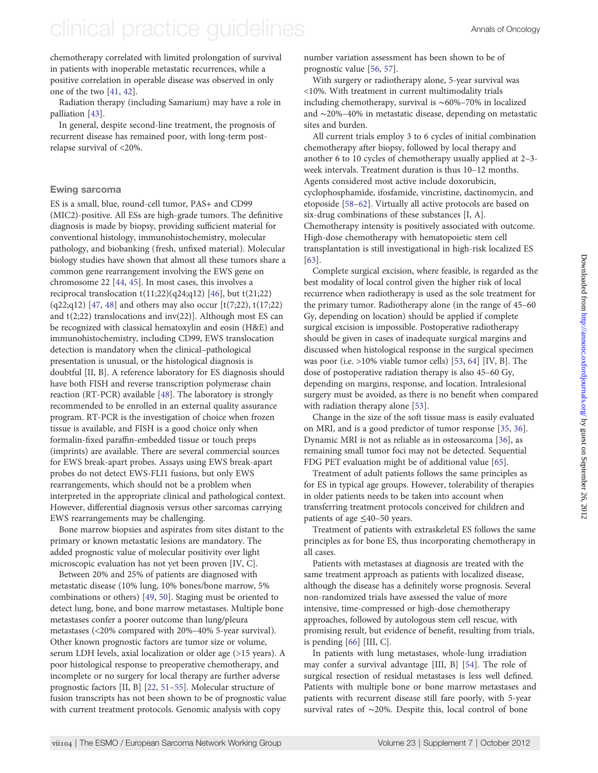# clinical practice quidelines and the second annuals of Oncology

chemotherapy correlated with limited prolongation of survival in patients with inoperable metastatic recurrences, while a positive correlation in operable disease was observed in only one of the two [[41,](#page-8-0) [42\]](#page-8-0).

Radiation therapy (including Samarium) may have a role in palliation [[43\]](#page-8-0).

In general, despite second-line treatment, the prognosis of recurrent disease has remained poor, with long-term postrelapse survival of <20%.

#### Ewing sarcoma

ES is a small, blue, round-cell tumor, PAS+ and CD99 (MIC2)-positive. All ESs are high-grade tumors. The definitive diagnosis is made by biopsy, providing sufficient material for conventional histology, immunohistochemistry, molecular pathology, and biobanking (fresh, unfixed material). Molecular biology studies have shown that almost all these tumors share a common gene rearrangement involving the EWS gene on chromosome 22 [\[44,](#page-8-0) [45](#page-8-0)]. In most cases, this involves a reciprocal translocation  $t(11;22)(q24;q12)$  [[46\]](#page-8-0), but  $t(21;22)$ (q22;q12) [[47,](#page-8-0) [48\]](#page-8-0) and others may also occur  $[t(7;22), t(17;22)]$ and  $t(2;22)$  translocations and  $inv(22)$ ]. Although most ES can be recognized with classical hematoxylin and eosin (H&E) and immunohistochemistry, including CD99, EWS translocation detection is mandatory when the clinical–pathological presentation is unusual, or the histological diagnosis is doubtful [II, B]. A reference laboratory for ES diagnosis should have both FISH and reverse transcription polymerase chain reaction (RT-PCR) available [[48\]](#page-8-0). The laboratory is strongly recommended to be enrolled in an external quality assurance program. RT-PCR is the investigation of choice when frozen tissue is available, and FISH is a good choice only when formalin-fixed paraffin-embedded tissue or touch preps (imprints) are available. There are several commercial sources for EWS break-apart probes. Assays using EWS break-apart probes do not detect EWS-FLI1 fusions, but only EWS rearrangements, which should not be a problem when interpreted in the appropriate clinical and pathological context. However, differential diagnosis versus other sarcomas carrying EWS rearrangements may be challenging.

Bone marrow biopsies and aspirates from sites distant to the primary or known metastatic lesions are mandatory. The added prognostic value of molecular positivity over light microscopic evaluation has not yet been proven [IV, C].

Between 20% and 25% of patients are diagnosed with metastatic disease (10% lung, 10% bones/bone marrow, 5% combinations or others) [[49](#page-8-0), [50\]](#page-8-0). Staging must be oriented to detect lung, bone, and bone marrow metastases. Multiple bone metastases confer a poorer outcome than lung/pleura metastases (<20% compared with 20%–40% 5-year survival). Other known prognostic factors are tumor size or volume, serum LDH levels, axial localization or older age (>15 years). A poor histological response to preoperative chemotherapy, and incomplete or no surgery for local therapy are further adverse prognostic factors [II, B] [[22,](#page-8-0) [51](#page-8-0)–[55\]](#page-8-0). Molecular structure of fusion transcripts has not been shown to be of prognostic value with current treatment protocols. Genomic analysis with copy

number variation assessment has been shown to be of prognostic value [[56,](#page-8-0) [57\]](#page-8-0).

With surgery or radiotherapy alone, 5-year survival was <10%. With treatment in current multimodality trials including chemotherapy, survival is ∼60%–70% in localized and ∼20%–40% in metastatic disease, depending on metastatic sites and burden.

All current trials employ 3 to 6 cycles of initial combination chemotherapy after biopsy, followed by local therapy and another 6 to 10 cycles of chemotherapy usually applied at 2–3 week intervals. Treatment duration is thus 10–12 months. Agents considered most active include doxorubicin, cyclophosphamide, ifosfamide, vincristine, dactinomycin, and etoposide [\[58](#page-8-0)–[62](#page-9-0)]. Virtually all active protocols are based on six-drug combinations of these substances [I, A]. Chemotherapy intensity is positively associated with outcome. High-dose chemotherapy with hematopoietic stem cell transplantation is still investigational in high-risk localized ES [[63\]](#page-9-0).

Complete surgical excision, where feasible, is regarded as the best modality of local control given the higher risk of local recurrence when radiotherapy is used as the sole treatment for the primary tumor. Radiotherapy alone (in the range of 45–60 Gy, depending on location) should be applied if complete surgical excision is impossible. Postoperative radiotherapy should be given in cases of inadequate surgical margins and discussed when histological response in the surgical specimen was poor (i.e. >10% viable tumor cells) [\[53,](#page-8-0) [64](#page-9-0)] [IV, B]. The dose of postoperative radiation therapy is also 45–60 Gy, depending on margins, response, and location. Intralesional surgery must be avoided, as there is no benefit when compared with radiation therapy alone [\[53](#page-8-0)].

Change in the size of the soft tissue mass is easily evaluated on MRI, and is a good predictor of tumor response [[35,](#page-8-0) [36\]](#page-8-0). Dynamic MRI is not as reliable as in osteosarcoma [[36\]](#page-8-0), as remaining small tumor foci may not be detected. Sequential FDG PET evaluation might be of additional value [[65\]](#page-9-0).

Treatment of adult patients follows the same principles as for ES in typical age groups. However, tolerability of therapies in older patients needs to be taken into account when transferring treatment protocols conceived for children and patients of age  $\leq 40-50$  years.

Treatment of patients with extraskeletal ES follows the same principles as for bone ES, thus incorporating chemotherapy in all cases.

Patients with metastases at diagnosis are treated with the same treatment approach as patients with localized disease, although the disease has a definitely worse prognosis. Several non-randomized trials have assessed the value of more intensive, time-compressed or high-dose chemotherapy approaches, followed by autologous stem cell rescue, with promising result, but evidence of benefit, resulting from trials, is pending [[66\]](#page-9-0) [III, C].

In patients with lung metastases, whole-lung irradiation may confer a survival advantage [III, B] [[54\]](#page-8-0). The role of surgical resection of residual metastases is less well defined. Patients with multiple bone or bone marrow metastases and patients with recurrent disease still fare poorly, with 5-year survival rates of ∼20%. Despite this, local control of bone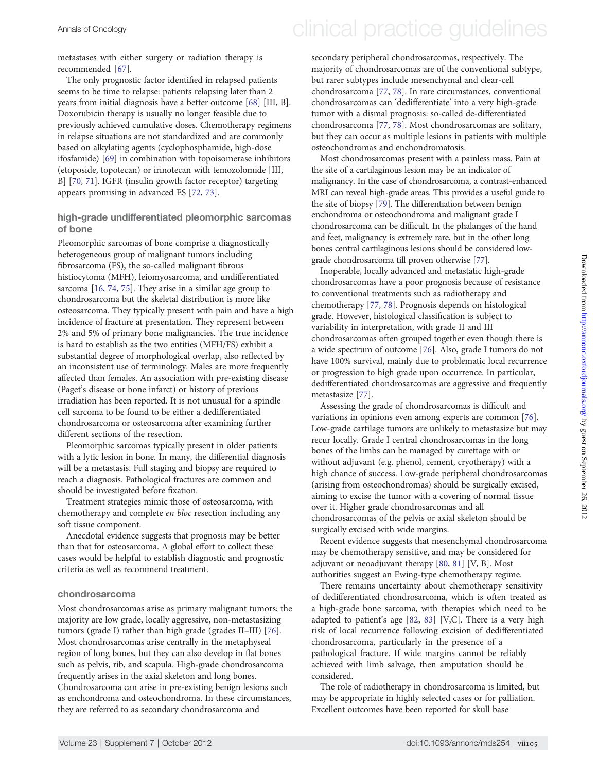metastases with either surgery or radiation therapy is recommended [\[67\]](#page-9-0).

The only prognostic factor identified in relapsed patients seems to be time to relapse: patients relapsing later than 2 years from initial diagnosis have a better outcome [[68\]](#page-9-0) [III, B]. Doxorubicin therapy is usually no longer feasible due to previously achieved cumulative doses. Chemotherapy regimens in relapse situations are not standardized and are commonly based on alkylating agents (cyclophosphamide, high-dose ifosfamide) [[69\]](#page-9-0) in combination with topoisomerase inhibitors (etoposide, topotecan) or irinotecan with temozolomide [III, B] [[70,](#page-9-0) [71\]](#page-9-0). IGFR (insulin growth factor receptor) targeting appears promising in advanced ES [\[72,](#page-9-0) [73](#page-9-0)].

#### high-grade undifferentiated pleomorphic sarcomas of bone

Pleomorphic sarcomas of bone comprise a diagnostically heterogeneous group of malignant tumors including fibrosarcoma (FS), the so-called malignant fibrous histiocytoma (MFH), leiomyosarcoma, and undifferentiated sarcoma [\[16,](#page-7-0) [74](#page-9-0), [75](#page-9-0)]. They arise in a similar age group to chondrosarcoma but the skeletal distribution is more like osteosarcoma. They typically present with pain and have a high incidence of fracture at presentation. They represent between 2% and 5% of primary bone malignancies. The true incidence is hard to establish as the two entities (MFH/FS) exhibit a substantial degree of morphological overlap, also reflected by an inconsistent use of terminology. Males are more frequently affected than females. An association with pre-existing disease (Paget's disease or bone infarct) or history of previous irradiation has been reported. It is not unusual for a spindle cell sarcoma to be found to be either a dedifferentiated chondrosarcoma or osteosarcoma after examining further different sections of the resection.

Pleomorphic sarcomas typically present in older patients with a lytic lesion in bone. In many, the differential diagnosis will be a metastasis. Full staging and biopsy are required to reach a diagnosis. Pathological fractures are common and should be investigated before fixation.

Treatment strategies mimic those of osteosarcoma, with chemotherapy and complete en bloc resection including any soft tissue component.

Anecdotal evidence suggests that prognosis may be better than that for osteosarcoma. A global effort to collect these cases would be helpful to establish diagnostic and prognostic criteria as well as recommend treatment.

#### chondrosarcoma

Most chondrosarcomas arise as primary malignant tumors; the majority are low grade, locally aggressive, non-metastasizing tumors (grade I) rather than high grade (grades II–III) [[76\]](#page-9-0). Most chondrosarcomas arise centrally in the metaphyseal region of long bones, but they can also develop in flat bones such as pelvis, rib, and scapula. High-grade chondrosarcoma frequently arises in the axial skeleton and long bones. Chondrosarcoma can arise in pre-existing benign lesions such as enchondroma and osteochondroma. In these circumstances, they are referred to as secondary chondrosarcoma and

# Annals of Oncology **Annals of Oncology** clinical practice quidelines

secondary peripheral chondrosarcomas, respectively. The majority of chondrosarcomas are of the conventional subtype, but rarer subtypes include mesenchymal and clear-cell chondrosarcoma [\[77](#page-9-0), [78](#page-9-0)]. In rare circumstances, conventional chondrosarcomas can 'dedifferentiate' into a very high-grade tumor with a dismal prognosis: so-called de-differentiated chondrosarcoma [\[77](#page-9-0), [78](#page-9-0)]. Most chondrosarcomas are solitary, but they can occur as multiple lesions in patients with multiple osteochondromas and enchondromatosis.

Most chondrosarcomas present with a painless mass. Pain at the site of a cartilaginous lesion may be an indicator of malignancy. In the case of chondrosarcoma, a contrast-enhanced MRI can reveal high-grade areas. This provides a useful guide to the site of biopsy [[79\]](#page-9-0). The differentiation between benign enchondroma or osteochondroma and malignant grade I chondrosarcoma can be difficult. In the phalanges of the hand and feet, malignancy is extremely rare, but in the other long bones central cartilaginous lesions should be considered lowgrade chondrosarcoma till proven otherwise [[77\]](#page-9-0).

Inoperable, locally advanced and metastatic high-grade chondrosarcomas have a poor prognosis because of resistance to conventional treatments such as radiotherapy and chemotherapy [\[77](#page-9-0), [78](#page-9-0)]. Prognosis depends on histological grade. However, histological classification is subject to variability in interpretation, with grade II and III chondrosarcomas often grouped together even though there is a wide spectrum of outcome [\[76](#page-9-0)]. Also, grade I tumors do not have 100% survival, mainly due to problematic local recurrence or progression to high grade upon occurrence. In particular, dedifferentiated chondrosarcomas are aggressive and frequently metastasize [[77\]](#page-9-0).

Assessing the grade of chondrosarcomas is difficult and variations in opinions even among experts are common [\[76\]](#page-9-0). Low-grade cartilage tumors are unlikely to metastasize but may recur locally. Grade I central chondrosarcomas in the long bones of the limbs can be managed by curettage with or without adjuvant (e.g. phenol, cement, cryotherapy) with a high chance of success. Low-grade peripheral chondrosarcomas (arising from osteochondromas) should be surgically excised, aiming to excise the tumor with a covering of normal tissue over it. Higher grade chondrosarcomas and all chondrosarcomas of the pelvis or axial skeleton should be surgically excised with wide margins.

Recent evidence suggests that mesenchymal chondrosarcoma may be chemotherapy sensitive, and may be considered for adjuvant or neoadjuvant therapy [[80,](#page-9-0) [81\]](#page-9-0) [V, B]. Most authorities suggest an Ewing-type chemotherapy regime.

There remains uncertainty about chemotherapy sensitivity of dedifferentiated chondrosarcoma, which is often treated as a high-grade bone sarcoma, with therapies which need to be adapted to patient's age [\[82,](#page-9-0) [83\]](#page-9-0) [V,C]. There is a very high risk of local recurrence following excision of dedifferentiated chondrosarcoma, particularly in the presence of a pathological fracture. If wide margins cannot be reliably achieved with limb salvage, then amputation should be considered.

The role of radiotherapy in chondrosarcoma is limited, but may be appropriate in highly selected cases or for palliation. Excellent outcomes have been reported for skull base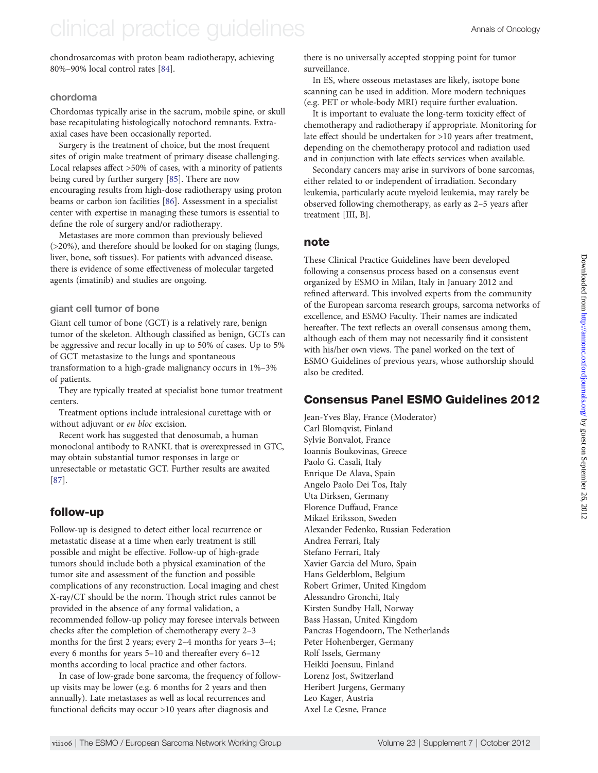# clinical practice quidelines and the second annuals of Oncology

chondrosarcomas with proton beam radiotherapy, achieving 80%–90% local control rates [[84\]](#page-9-0).

#### chordoma

Chordomas typically arise in the sacrum, mobile spine, or skull base recapitulating histologically notochord remnants. Extraaxial cases have been occasionally reported.

Surgery is the treatment of choice, but the most frequent sites of origin make treatment of primary disease challenging. Local relapses affect >50% of cases, with a minority of patients being cured by further surgery [\[85](#page-9-0)]. There are now encouraging results from high-dose radiotherapy using proton beams or carbon ion facilities [\[86\]](#page-9-0). Assessment in a specialist center with expertise in managing these tumors is essential to define the role of surgery and/or radiotherapy.

Metastases are more common than previously believed (>20%), and therefore should be looked for on staging (lungs, liver, bone, soft tissues). For patients with advanced disease, there is evidence of some effectiveness of molecular targeted agents (imatinib) and studies are ongoing.

#### giant cell tumor of bone

Giant cell tumor of bone (GCT) is a relatively rare, benign tumor of the skeleton. Although classified as benign, GCTs can be aggressive and recur locally in up to 50% of cases. Up to 5% of GCT metastasize to the lungs and spontaneous transformation to a high-grade malignancy occurs in 1%–3% of patients.

They are typically treated at specialist bone tumor treatment centers.

Treatment options include intralesional curettage with or without adjuvant or en bloc excision.

Recent work has suggested that denosumab, a human monoclonal antibody to RANKL that is overexpressed in GTC, may obtain substantial tumor responses in large or unresectable or metastatic GCT. Further results are awaited [[87\]](#page-9-0).

### follow-up

Follow-up is designed to detect either local recurrence or metastatic disease at a time when early treatment is still possible and might be effective. Follow-up of high-grade tumors should include both a physical examination of the tumor site and assessment of the function and possible complications of any reconstruction. Local imaging and chest X-ray/CT should be the norm. Though strict rules cannot be provided in the absence of any formal validation, a recommended follow-up policy may foresee intervals between checks after the completion of chemotherapy every 2–3 months for the first 2 years; every 2–4 months for years 3–4; every 6 months for years 5–10 and thereafter every 6–12 months according to local practice and other factors.

In case of low-grade bone sarcoma, the frequency of followup visits may be lower (e.g. 6 months for 2 years and then annually). Late metastases as well as local recurrences and functional deficits may occur >10 years after diagnosis and

there is no universally accepted stopping point for tumor surveillance.

In ES, where osseous metastases are likely, isotope bone scanning can be used in addition. More modern techniques (e.g. PET or whole-body MRI) require further evaluation.

It is important to evaluate the long-term toxicity effect of chemotherapy and radiotherapy if appropriate. Monitoring for late effect should be undertaken for >10 years after treatment, depending on the chemotherapy protocol and radiation used and in conjunction with late effects services when available.

Secondary cancers may arise in survivors of bone sarcomas, either related to or independent of irradiation. Secondary leukemia, particularly acute myeloid leukemia, may rarely be observed following chemotherapy, as early as 2–5 years after treatment [III, B].

#### note

These Clinical Practice Guidelines have been developed following a consensus process based on a consensus event organized by ESMO in Milan, Italy in January 2012 and refined afterward. This involved experts from the community of the European sarcoma research groups, sarcoma networks of excellence, and ESMO Faculty. Their names are indicated hereafter. The text reflects an overall consensus among them, although each of them may not necessarily find it consistent with his/her own views. The panel worked on the text of ESMO Guidelines of previous years, whose authorship should also be credited.

### Consensus Panel ESMO Guidelines 2012

Jean-Yves Blay, France (Moderator) Carl Blomqvist, Finland Sylvie Bonvalot, France Ioannis Boukovinas, Greece Paolo G. Casali, Italy Enrique De Alava, Spain Angelo Paolo Dei Tos, Italy Uta Dirksen, Germany Florence Duffaud, France Mikael Eriksson, Sweden Alexander Fedenko, Russian Federation Andrea Ferrari, Italy Stefano Ferrari, Italy Xavier Garcia del Muro, Spain Hans Gelderblom, Belgium Robert Grimer, United Kingdom Alessandro Gronchi, Italy Kirsten Sundby Hall, Norway Bass Hassan, United Kingdom Pancras Hogendoorn, The Netherlands Peter Hohenberger, Germany Rolf Issels, Germany Heikki Joensuu, Finland Lorenz Jost, Switzerland Heribert Jurgens, Germany Leo Kager, Austria Axel Le Cesne, France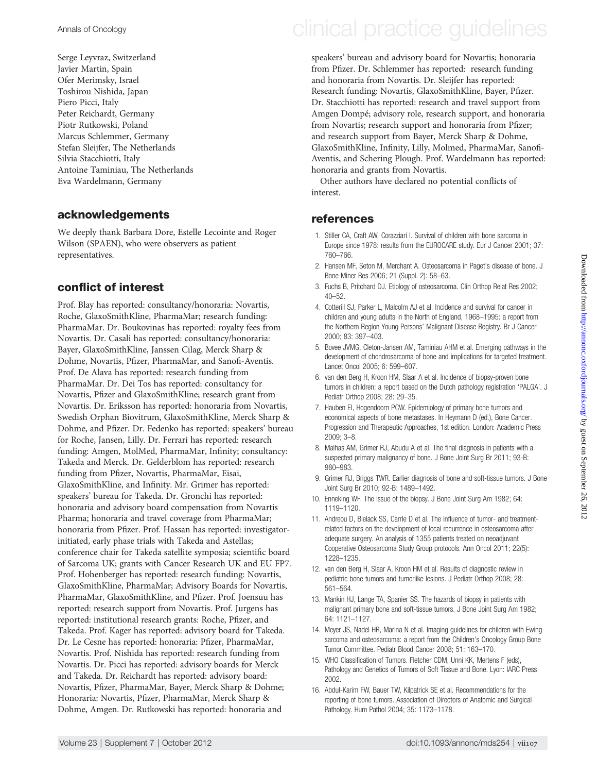Serge Leyvraz, Switzerland Javier Martin, Spain Ofer Merimsky, Israel Toshirou Nishida, Japan Piero Picci, Italy Peter Reichardt, Germany Piotr Rutkowski, Poland Marcus Schlemmer, Germany Stefan Sleijfer, The Netherlands Silvia Stacchiotti, Italy Antoine Taminiau, The Netherlands Eva Wardelmann, Germany

### acknowledgements

We deeply thank Barbara Dore, Estelle Lecointe and Roger Wilson (SPAEN), who were observers as patient representatives.

## conflict of interest

Prof. Blay has reported: consultancy/honoraria: Novartis, Roche, GlaxoSmithKline, PharmaMar; research funding: PharmaMar. Dr. Boukovinas has reported: royalty fees from Novartis. Dr. Casali has reported: consultancy/honoraria: Bayer, GlaxoSmithKline, Janssen Cilag, Merck Sharp & Dohme, Novartis, Pfizer, PharmaMar, and Sanofi-Aventis. Prof. De Alava has reported: research funding from PharmaMar. Dr. Dei Tos has reported: consultancy for Novartis, Pfizer and GlaxoSmithKline; research grant from Novartis. Dr. Eriksson has reported: honoraria from Novartis, Swedish Orphan Biovitrum, GlaxoSmithKline, Merck Sharp & Dohme, and Pfizer. Dr. Fedenko has reported: speakers' bureau for Roche, Jansen, Lilly. Dr. Ferrari has reported: research funding: Amgen, MolMed, PharmaMar, Infinity; consultancy: Takeda and Merck. Dr. Gelderblom has reported: research funding from Pfizer, Novartis, PharmaMar, Eisai, GlaxoSmithKline, and Infinity. Mr. Grimer has reported: speakers' bureau for Takeda. Dr. Gronchi has reported: honoraria and advisory board compensation from Novartis Pharma; honoraria and travel coverage from PharmaMar; honoraria from Pfizer. Prof. Hassan has reported: investigatorinitiated, early phase trials with Takeda and Astellas; conference chair for Takeda satellite symposia; scientific board of Sarcoma UK; grants with Cancer Research UK and EU FP7. Prof. Hohenberger has reported: research funding: Novartis, GlaxoSmithKline, PharmaMar; Advisory Boards for Novartis, PharmaMar, GlaxoSmithKline, and Pfizer. Prof. Joensuu has reported: research support from Novartis. Prof. Jurgens has reported: institutional research grants: Roche, Pfizer, and Takeda. Prof. Kager has reported: advisory board for Takeda. Dr. Le Cesne has reported: honoraria: Pfizer, PharmaMar, Novartis. Prof. Nishida has reported: research funding from Novartis. Dr. Picci has reported: advisory boards for Merck and Takeda. Dr. Reichardt has reported: advisory board: Novartis, Pfizer, PharmaMar, Bayer, Merck Sharp & Dohme; Honoraria: Novartis, Pfizer, PharmaMar, Merck Sharp & Dohme, Amgen. Dr. Rutkowski has reported: honoraria and

# <span id="page-7-0"></span>Annals of Oncology **Annals of Oncology** clinical practice quidelines

speakers' bureau and advisory board for Novartis; honoraria from Pfizer. Dr. Schlemmer has reported: research funding and honoraria from Novartis. Dr. Sleijfer has reported: Research funding: Novartis, GlaxoSmithKline, Bayer, Pfizer. Dr. Stacchiotti has reported: research and travel support from Amgen Dompé; advisory role, research support, and honoraria from Novartis; research support and honoraria from Pfizer; and research support from Bayer, Merck Sharp & Dohme, GlaxoSmithKline, Infinity, Lilly, Molmed, PharmaMar, Sanofi-Aventis, and Schering Plough. Prof. Wardelmann has reported: honoraria and grants from Novartis.

Other authors have declared no potential conflicts of interest.

### references

- 1. Stiller CA, Craft AW, Corazziari I. Survival of children with bone sarcoma in Europe since 1978: results from the EUROCARE study. Eur J Cancer 2001; 37: 760–766.
- 2. Hansen MF, Seton M, Merchant A. Osteosarcoma in Paget's disease of bone. J Bone Miner Res 2006; 21 (Suppl. 2): 58–63.
- 3. Fuchs B, Pritchard DJ. Etiology of osteosarcoma. Clin Orthop Relat Res 2002; 40–52.
- 4. Cotterill SJ, Parker L, Malcolm AJ et al. Incidence and survival for cancer in children and young adults in the North of England, 1968–1995: a report from the Northern Region Young Persons' Malignant Disease Registry. Br J Cancer 2000; 83: 397–403.
- 5. Bovee JVMG, Cleton-Jansen AM, Taminiau AHM et al. Emerging pathways in the development of chondrosarcoma of bone and implications for targeted treatment. Lancet Oncol 2005; 6: 599–607.
- 6. van den Berg H, Kroon HM, Slaar A et al. Incidence of biopsy-proven bone tumors in children: a report based on the Dutch pathology registration 'PALGA'. J Pediatr Orthop 2008; 28: 29–35.
- 7. Hauben EI, Hogendoorn PCW. Epidemiology of primary bone tumors and economical aspects of bone metastases. In Heymann D (ed.), Bone Cancer. Progression and Therapeutic Approaches, 1st edition. London: Academic Press 2009; 3–8.
- 8. Malhas AM, Grimer RJ, Abudu A et al. The final diagnosis in patients with a suspected primary malignancy of bone. J Bone Joint Surg Br 2011; 93-B: 980–983.
- 9. Grimer RJ, Briggs TWR. Earlier diagnosis of bone and soft-tissue tumors. J Bone Joint Surg Br 2010; 92-B: 1489–1492.
- 10. Enneking WF. The issue of the biopsy. J Bone Joint Surg Am 1982; 64: 1119–1120.
- 11. Andreou D, Bielack SS, Carrle D et al. The influence of tumor- and treatmentrelated factors on the development of local recurrence in osteosarcoma after adequate surgery. An analysis of 1355 patients treated on neoadjuvant Cooperative Osteosarcoma Study Group protocols. Ann Oncol 2011; 22(5): 1228–1235.
- 12. van den Berg H, Slaar A, Kroon HM et al. Results of diagnostic review in pediatric bone tumors and tumorlike lesions. J Pediatr Orthop 2008; 28: 561–564.
- 13. Mankin HJ, Lange TA, Spanier SS. The hazards of biopsy in patients with malignant primary bone and soft-tissue tumors. J Bone Joint Surg Am 1982; 64: 1121–1127.
- 14. Meyer JS, Nadel HR, Marina N et al. Imaging guidelines for children with Ewing sarcoma and osteosarcoma: a report from the Children's Oncology Group Bone Tumor Committee. Pediatr Blood Cancer 2008; 51: 163–170.
- 15. WHO Classification of Tumors. Fletcher CDM, Unni KK, Mertens F (eds), Pathology and Genetics of Tumors of Soft Tissue and Bone. Lyon: IARC Press 2002.
- 16. Abdul-Karim FW, Bauer TW, Kilpatrick SE et al. Recommendations for the reporting of bone tumors. Association of Directors of Anatomic and Surgical Pathology. Hum Pathol 2004; 35: 1173–1178.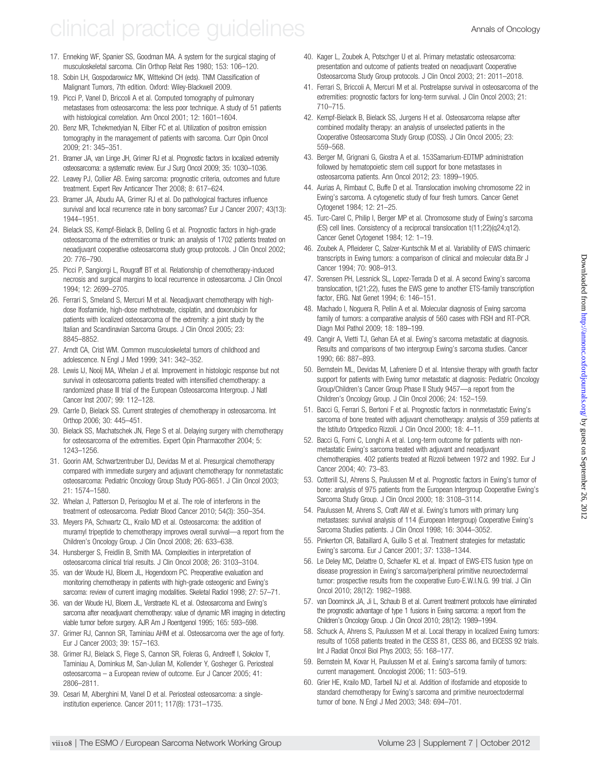# <span id="page-8-0"></span>clinical practice quidelines **Annals of Oncology**

- 17. Enneking WF, Spanier SS, Goodman MA. A system for the surgical staging of musculoskeletal sarcoma. Clin Orthop Relat Res 1980; 153: 106–120.
- 18. Sobin LH, Gospodarowicz MK, Wittekind CH (eds). TNM Classification of Malignant Tumors, 7th edition. Oxford: Wiley-Blackwell 2009.
- 19. Picci P, Vanel D, Briccoli A et al. Computed tomography of pulmonary metastases from osteosarcoma: the less poor technique. A study of 51 patients with histological correlation. Ann Oncol 2001; 12: 1601–1604.
- 20. Benz MR, Tchekmedyian N, Eilber FC et al. Utilization of positron emission tomography in the management of patients with sarcoma. Curr Opin Oncol 2009; 21: 345–351.
- 21. Bramer JA, van Linge JH, Grimer RJ et al. Prognostic factors in localized extremity osteosarcoma: a systematic review. Eur J Surg Oncol 2009; 35: 1030–1036.
- 22. Leavey PJ, Collier AB. Ewing sarcoma: prognostic criteria, outcomes and future treatment. Expert Rev Anticancer Ther 2008; 8: 617–624.
- 23. Bramer JA, Abudu AA, Grimer RJ et al. Do pathological fractures influence survival and local recurrence rate in bony sarcomas? Eur J Cancer 2007; 43(13): 1944–1951.
- 24. Bielack SS, Kempf-Bielack B, Delling G et al. Prognostic factors in high-grade osteosarcoma of the extremities or trunk: an analysis of 1702 patients treated on neoadjuvant cooperative osteosarcoma study group protocols. J Clin Oncol 2002; 20: 776–790.
- 25. Picci P, Sangiorgi L, Rougraff BT et al. Relationship of chemotherapy-induced necrosis and surgical margins to local recurrence in osteosarcoma. J Clin Oncol 1994; 12: 2699–2705.
- 26. Ferrari S, Smeland S, Mercuri M et al. Neoadjuvant chemotherapy with highdose Ifosfamide, high-dose methotrexate, cisplatin, and doxorubicin for patients with localized osteosarcoma of the extremity: a joint study by the Italian and Scandinavian Sarcoma Groups. J Clin Oncol 2005; 23: 8845–8852.
- 27. Arndt CA, Crist WM. Common musculoskeletal tumors of childhood and adolescence. N Engl J Med 1999; 341: 342–352.
- 28. Lewis IJ, Nooij MA, Whelan J et al. Improvement in histologic response but not survival in osteosarcoma patients treated with intensified chemotherapy: a randomized phase III trial of the European Osteosarcoma Intergroup. J Natl Cancer Inst 2007; 99: 112–128.
- 29. Carrle D, Bielack SS. Current strategies of chemotherapy in osteosarcoma. Int Orthop 2006; 30: 445–451.
- 30. Bielack SS, Machatschek JN, Flege S et al. Delaying surgery with chemotherapy for osteosarcoma of the extremities. Expert Opin Pharmacother 2004; 5: 1243–1256.
- 31. Goorin AM, Schwartzentruber DJ, Devidas M et al. Presurgical chemotherapy compared with immediate surgery and adjuvant chemotherapy for nonmetastatic osteosarcoma: Pediatric Oncology Group Study POG-8651. J Clin Oncol 2003; 21: 1574–1580.
- 32. Whelan J, Patterson D, Perisoglou M et al. The role of interferons in the treatment of osteosarcoma. Pediatr Blood Cancer 2010; 54(3): 350–354.
- 33. Meyers PA, Schwartz CL, Krailo MD et al. Osteosarcoma: the addition of muramyl tripeptide to chemotherapy improves overall survival—a report from the Children's Oncology Group. J Clin Oncol 2008; 26: 633–638.
- 34. Hunsberger S, Freidlin B, Smith MA. Complexities in interpretation of osteosarcoma clinical trial results. J Clin Oncol 2008; 26: 3103–3104.
- 35. van der Woude HJ, Bloem JL, Hogendoorn PC. Preoperative evaluation and monitoring chemotherapy in patients with high-grade osteogenic and Ewing's sarcoma: review of current imaging modalities. Skeletal Radiol 1998; 27: 57-71.
- 36. van der Woude HJ, Bloem JL, Verstraete KL et al. Osteosarcoma and Ewing's sarcoma after neoadjuvant chemotherapy: value of dynamic MR imaging in detecting viable tumor before surgery. AJR Am J Roentgenol 1995; 165: 593–598.
- 37. Grimer RJ, Cannon SR, Taminiau AHM et al. Osteosarcoma over the age of forty. Eur J Cancer 2003; 39: 157–163.
- 38. Grimer RJ, Bielack S, Flege S, Cannon SR, Foleras G, Andreeff I, Sokolov T, Taminiau A, Dominkus M, San-Julian M, Kollender Y, Gosheger G. Periosteal osteosarcoma – a European review of outcome. Eur J Cancer 2005; 41: 2806–2811.
- 39. Cesari M, Alberghini M, Vanel D et al. Periosteal osteosarcoma: a singleinstitution experience. Cancer 2011; 117(8): 1731–1735.
- 40. Kager L, Zoubek A, Potschger U et al. Primary metastatic osteosarcoma: presentation and outcome of patients treated on neoadjuvant Cooperative Osteosarcoma Study Group protocols. J Clin Oncol 2003; 21: 2011–2018.
- 41. Ferrari S, Briccoli A, Mercuri M et al. Postrelapse survival in osteosarcoma of the extremities: prognostic factors for long-term survival. J Clin Oncol 2003; 21: 710–715.
- 42. Kempf-Bielack B, Bielack SS, Jurgens H et al. Osteosarcoma relapse after combined modality therapy: an analysis of unselected patients in the Cooperative Osteosarcoma Study Group (COSS). J Clin Oncol 2005; 23: 559–568.
- 43. Berger M, Grignani G, Giostra A et al. 153Samarium-EDTMP administration followed by hematopoietic stem cell support for bone metastases in osteosarcoma patients. Ann Oncol 2012; 23: 1899–1905.
- 44. Aurias A, Rimbaut C, Buffe D et al. Translocation involving chromosome 22 in Ewing's sarcoma. A cytogenetic study of four fresh tumors. Cancer Genet Cytogenet 1984; 12: 21–25.
- 45. Turc-Carel C, Philip I, Berger MP et al. Chromosome study of Ewing's sarcoma (ES) cell lines. Consistency of a reciprocal translocation t(11;22)(q24;q12). Cancer Genet Cytogenet 1984; 12: 1–19.
- 46. Zoubek A, Pfleiderer C, Salzer-Kuntschik M et al. Variability of EWS chimaeric transcripts in Ewing tumors: a comparison of clinical and molecular data.Br J Cancer 1994; 70: 908–913.
- 47. Sorensen PH, Lessnick SL, Lopez-Terrada D et al. A second Ewing's sarcoma translocation, t(21;22), fuses the EWS gene to another ETS-family transcription factor, ERG. Nat Genet 1994; 6: 146–151.
- 48. Machado I, Noguera R, Pellin A et al. Molecular diagnosis of Ewing sarcoma family of tumors: a comparative analysis of 560 cases with FISH and RT-PCR. Diagn Mol Pathol 2009; 18: 189–199.
- 49. Cangir A, Vietti TJ, Gehan EA et al. Ewing's sarcoma metastatic at diagnosis. Results and comparisons of two intergroup Ewing's sarcoma studies. Cancer 1990; 66: 887–893.
- 50. Bernstein ML, Devidas M, Lafreniere D et al. Intensive therapy with growth factor support for patients with Ewing tumor metastatic at diagnosis: Pediatric Oncology Group/Children's Cancer Group Phase II Study 9457—a report from the Children's Oncology Group. J Clin Oncol 2006; 24: 152–159.
- 51. Bacci G, Ferrari S, Bertoni F et al. Prognostic factors in nonmetastatic Ewing's sarcoma of bone treated with adjuvant chemotherapy: analysis of 359 patients at the Istituto Ortopedico Rizzoli. J Clin Oncol 2000; 18: 4–11.
- 52. Bacci G, Forni C, Longhi A et al. Long-term outcome for patients with nonmetastatic Ewing's sarcoma treated with adjuvant and neoadjuvant chemotherapies. 402 patients treated at Rizzoli between 1972 and 1992. Eur J Cancer 2004; 40: 73–83.
- 53. Cotterill SJ, Ahrens S, Paulussen M et al. Prognostic factors in Ewing's tumor of bone: analysis of 975 patients from the European Intergroup Cooperative Ewing's Sarcoma Study Group. J Clin Oncol 2000; 18: 3108–3114.
- 54. Paulussen M, Ahrens S, Craft AW et al. Ewing's tumors with primary lung metastases: survival analysis of 114 (European Intergroup) Cooperative Ewing's Sarcoma Studies patients. J Clin Oncol 1998; 16: 3044–3052.
- 55. Pinkerton CR, Bataillard A, Guillo S et al. Treatment strategies for metastatic Ewing's sarcoma. Eur J Cancer 2001; 37: 1338–1344.
- 56. Le Deley MC, Delattre O, Schaefer KL et al. Impact of EWS-ETS fusion type on disease progression in Ewing's sarcoma/peripheral primitive neuroectodermal tumor: prospective results from the cooperative Euro-E.W.I.N.G. 99 trial. J Clin Oncol 2010; 28(12): 1982–1988.
- 57. van Doorninck JA, Ji L, Schaub B et al. Current treatment protocols have eliminated the prognostic advantage of type 1 fusions in Ewing sarcoma: a report from the Children's Oncology Group. J Clin Oncol 2010; 28(12): 1989–1994.
- 58. Schuck A, Ahrens S, Paulussen M et al. Local therapy in localized Ewing tumors: results of 1058 patients treated in the CESS 81, CESS 86, and EICESS 92 trials. Int J Radiat Oncol Biol Phys 2003; 55: 168–177.
- 59. Bernstein M, Kovar H, Paulussen M et al. Ewing's sarcoma family of tumors: current management. Oncologist 2006; 11: 503–519.
- 60. Grier HE, Krailo MD, Tarbell NJ et al. Addition of ifosfamide and etoposide to standard chemotherapy for Ewing's sarcoma and primitive neuroectodermal tumor of bone. N Engl J Med 2003; 348: 694–701.